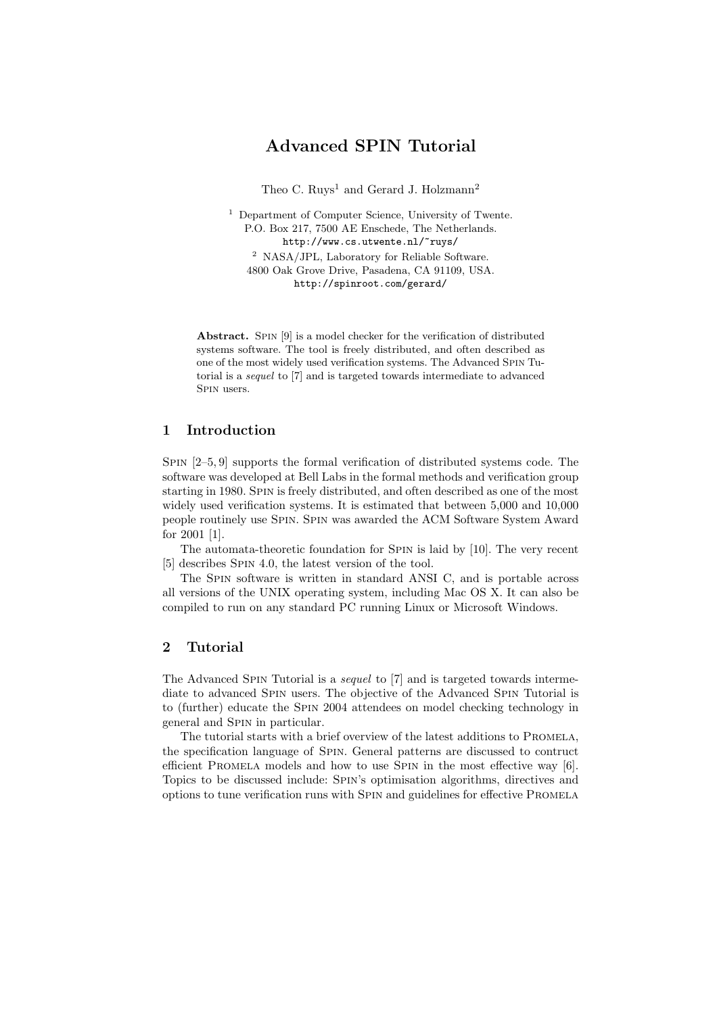## Advanced SPIN Tutorial

Theo C.  $Ruys<sup>1</sup>$  and Gerard J. Holzmann<sup>2</sup>

<sup>1</sup> Department of Computer Science, University of Twente. P.O. Box 217, 7500 AE Enschede, The Netherlands. http://www.cs.utwente.nl/~ruys/  $^2\,$  NASA/JPL, Laboratory for Reliable Software. 4800 Oak Grove Drive, Pasadena, CA 91109, USA. http://spinroot.com/gerard/

Abstract. SPIN [9] is a model checker for the verification of distributed systems software. The tool is freely distributed, and often described as one of the most widely used verification systems. The Advanced Spin Tutorial is a sequel to [7] and is targeted towards intermediate to advanced Spin users.

## 1 Introduction

Spin [2–5, 9] supports the formal verification of distributed systems code. The software was developed at Bell Labs in the formal methods and verification group starting in 1980. Spin is freely distributed, and often described as one of the most widely used verification systems. It is estimated that between 5,000 and 10,000 people routinely use Spin. Spin was awarded the ACM Software System Award for 2001 [1].

The automata-theoretic foundation for Spin is laid by [10]. The very recent [5] describes Spin 4.0, the latest version of the tool.

The Spin software is written in standard ANSI C, and is portable across all versions of the UNIX operating system, including Mac OS X. It can also be compiled to run on any standard PC running Linux or Microsoft Windows.

## 2 Tutorial

The Advanced Spin Tutorial is a sequel to [7] and is targeted towards intermediate to advanced Spin users. The objective of the Advanced Spin Tutorial is to (further) educate the Spin 2004 attendees on model checking technology in general and Spin in particular.

The tutorial starts with a brief overview of the latest additions to PROMELA, the specification language of Spin. General patterns are discussed to contruct efficient Promela models and how to use Spin in the most effective way [6]. Topics to be discussed include: Spin's optimisation algorithms, directives and options to tune verification runs with Spin and guidelines for effective Promela